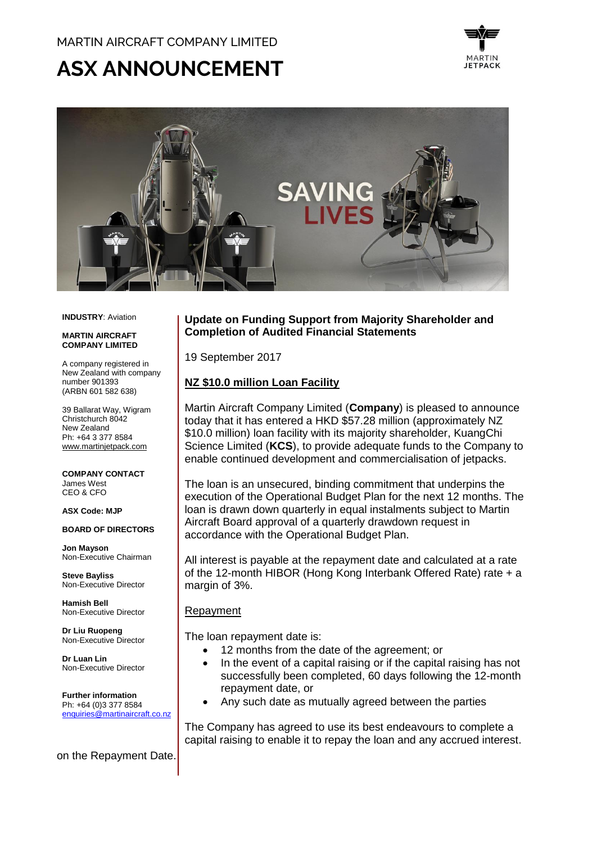# **ASX ANNOUNCEMENT**





**INDUSTRY**: Aviation

#### **MARTIN AIRCRAFT COMPANY LIMITED**

A company registered in New Zealand with company number 901393 (ARBN 601 582 638)

39 Ballarat Way, Wigram Christchurch 8042 New Zealand Ph: +64 3 377 8584 [www.martinjetpack.com](http://www.martinjetpack.com/)

**COMPANY CONTACT** James West CEO & CFO

**ASX Code: MJP**

**BOARD OF DIRECTORS**

**Jon Mayson**  Non-Executive Chairman

**Steve Bayliss** Non-Executive Director

**Hamish Bell** Non-Executive Director

**Dr Liu Ruopeng**  Non-Executive Director

**Dr Luan Lin** Non-Executive Director

**Further information** Ph: +64 (0)3 377 8584 [enquiries@martinaircraft.co.nz](mailto:enquiries@martinaircraft.co.nz)

on the Repayment Date.

## **Update on Funding Support from Majority Shareholder and Completion of Audited Financial Statements**

19 September 2017

## **NZ \$10.0 million Loan Facility**

Martin Aircraft Company Limited (**Company**) is pleased to announce today that it has entered a HKD \$57.28 million (approximately NZ \$10.0 million) loan facility with its majority shareholder, KuangChi Science Limited (**KCS**), to provide adequate funds to the Company to enable continued development and commercialisation of jetpacks.

The loan is an unsecured, binding commitment that underpins the execution of the Operational Budget Plan for the next 12 months. The loan is drawn down quarterly in equal instalments subject to Martin Aircraft Board approval of a quarterly drawdown request in accordance with the Operational Budget Plan.

All interest is payable at the repayment date and calculated at a rate of the 12-month HIBOR (Hong Kong Interbank Offered Rate) rate + a margin of 3%.

## Repayment

The loan repayment date is:

- 12 months from the date of the agreement; or
- In the event of a capital raising or if the capital raising has not successfully been completed, 60 days following the 12-month repayment date, or
- Any such date as mutually agreed between the parties

The Company has agreed to use its best endeavours to complete a capital raising to enable it to repay the loan and any accrued interest.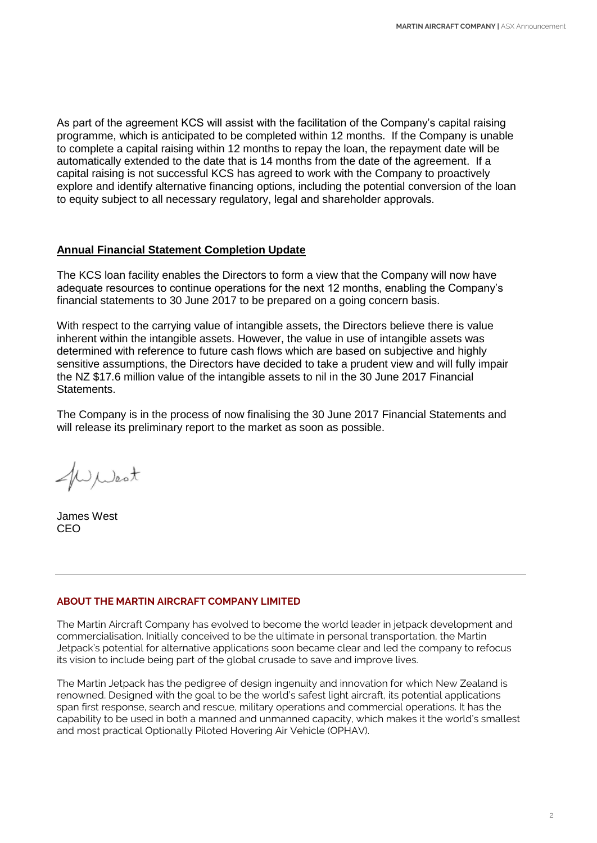As part of the agreement KCS will assist with the facilitation of the Company's capital raising programme, which is anticipated to be completed within 12 months. If the Company is unable to complete a capital raising within 12 months to repay the loan, the repayment date will be automatically extended to the date that is 14 months from the date of the agreement. If a capital raising is not successful KCS has agreed to work with the Company to proactively explore and identify alternative financing options, including the potential conversion of the loan to equity subject to all necessary regulatory, legal and shareholder approvals.

## **Annual Financial Statement Completion Update**

The KCS loan facility enables the Directors to form a view that the Company will now have adequate resources to continue operations for the next 12 months, enabling the Company's financial statements to 30 June 2017 to be prepared on a going concern basis.

With respect to the carrying value of intangible assets, the Directors believe there is value inherent within the intangible assets. However, the value in use of intangible assets was determined with reference to future cash flows which are based on subjective and highly sensitive assumptions, the Directors have decided to take a prudent view and will fully impair the NZ \$17.6 million value of the intangible assets to nil in the 30 June 2017 Financial Statements.

The Company is in the process of now finalising the 30 June 2017 Financial Statements and will release its preliminary report to the market as soon as possible.

Wwest

James West CEO

### **ABOUT THE MARTIN AIRCRAFT COMPANY LIMITED**

The Martin Aircraft Company has evolved to become the world leader in jetpack development and commercialisation. Initially conceived to be the ultimate in personal transportation, the Martin Jetpack's potential for alternative applications soon became clear and led the company to refocus its vision to include being part of the global crusade to save and improve lives.

The Martin Jetpack has the pedigree of design ingenuity and innovation for which New Zealand is renowned. Designed with the goal to be the world's safest light aircraft, its potential applications span first response, search and rescue, military operations and commercial operations. It has the capability to be used in both a manned and unmanned capacity, which makes it the world's smallest and most practical Optionally Piloted Hovering Air Vehicle (OPHAV).